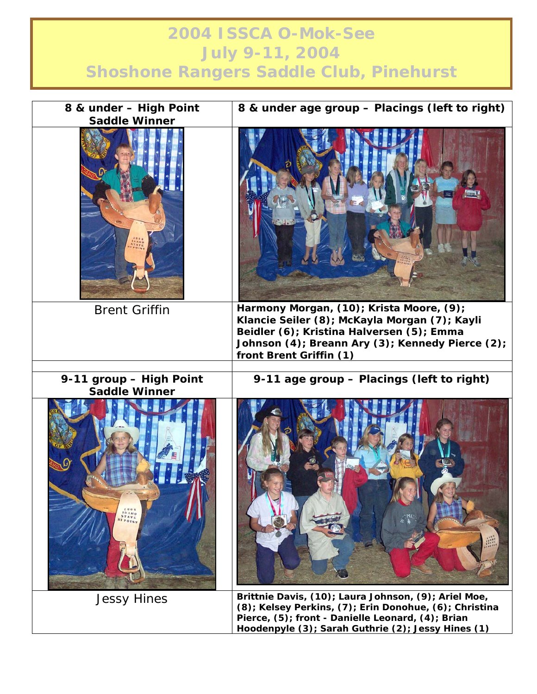## **2004 ISSCA O-Mok-See July 9-11, 2004 Shoshone Rangers Saddle Club, Pinehurst**

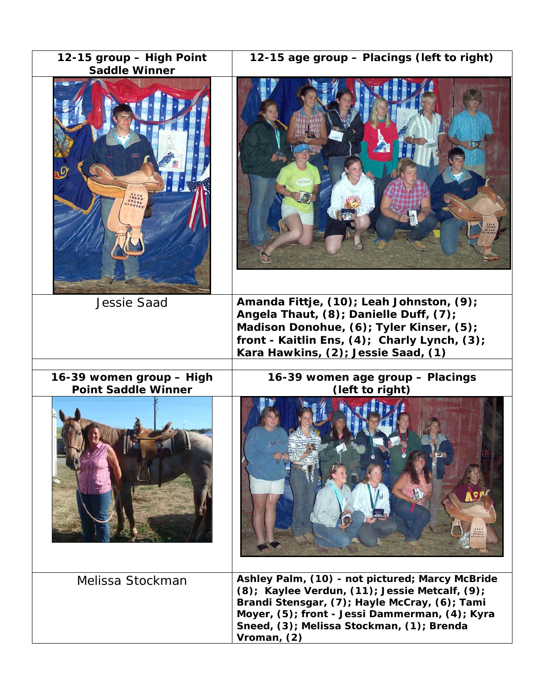| 12-15 group - High Point<br><b>Saddle Winner</b>       | 12-15 age group - Placings (left to right)                                                                                                                                                                                                                       |
|--------------------------------------------------------|------------------------------------------------------------------------------------------------------------------------------------------------------------------------------------------------------------------------------------------------------------------|
|                                                        |                                                                                                                                                                                                                                                                  |
| <b>Jessie Saad</b>                                     | Amanda Fittje, (10); Leah Johnston, (9);<br>Angela Thaut, (8); Danielle Duff, (7);<br>Madison Donohue, (6); Tyler Kinser, (5);<br>front - Kaitlin Ens, (4); Charly Lynch, (3);<br>Kara Hawkins, (2); Jessie Saad, (1)                                            |
| 16-39 women group - High<br><b>Point Saddle Winner</b> | 16-39 women age group - Placings<br>(left to right)                                                                                                                                                                                                              |
|                                                        |                                                                                                                                                                                                                                                                  |
| Melissa Stockman                                       | Ashley Palm, (10) - not pictured; Marcy McBride<br>(8); Kaylee Verdun, (11); Jessie Metcalf, (9);<br>Brandi Stensgar, (7); Hayle McCray, (6); Tami<br>Moyer, (5); front - Jessi Dammerman, (4); Kyra<br>Sneed, (3); Melissa Stockman, (1); Brenda<br>Vroman, (2) |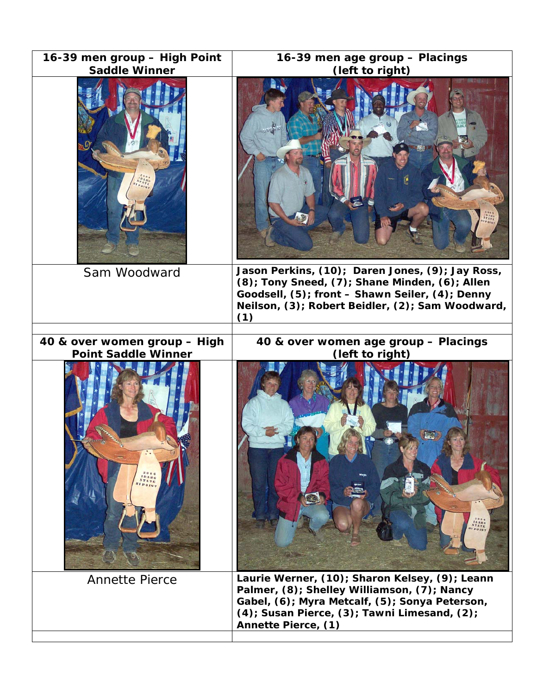| 16-39 men group - High Point<br><b>Saddle Winner</b>       | 16-39 men age group - Placings<br>(left to right)                                                                                                                                                                               |
|------------------------------------------------------------|---------------------------------------------------------------------------------------------------------------------------------------------------------------------------------------------------------------------------------|
|                                                            |                                                                                                                                                                                                                                 |
| Sam Woodward                                               | Jason Perkins, (10); Daren Jones, (9); Jay Ross,<br>(8); Tony Sneed, (7); Shane Minden, (6); Allen<br>Goodsell, (5); front - Shawn Seiler, (4); Denny<br>Neilson, (3); Robert Beidler, (2); Sam Woodward,<br>(1)                |
| 40 & over women group - High<br><b>Point Saddle Winner</b> | 40 & over women age group - Placings<br>(left to right)                                                                                                                                                                         |
|                                                            | <b>IDANO</b>                                                                                                                                                                                                                    |
| <b>Annette Pierce</b>                                      | Laurie Werner, (10); Sharon Kelsey, (9); Leann<br>Palmer, (8); Shelley Williamson, (7); Nancy<br>Gabel, (6); Myra Metcalf, (5); Sonya Peterson,<br>$(4)$ ; Susan Pierce, $(3)$ ; Tawni Limesand, $(2)$ ;<br>Annette Pierce, (1) |